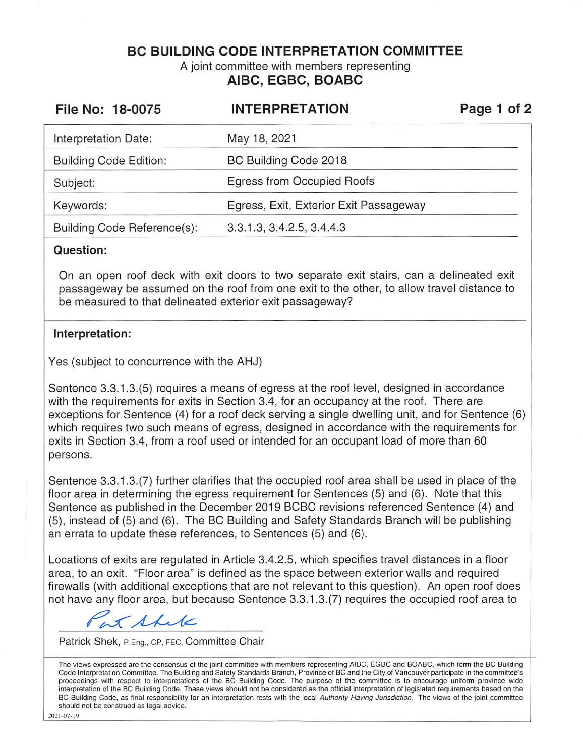**BC BUILDING CODE INTERPRETATION COMMITTEE** 

A joint committee with members representing **AIBC, EGBC, BOABC** 

| File No: 18-0075              | <b>INTERPRETATION</b>                  | Page 1 of 2 |
|-------------------------------|----------------------------------------|-------------|
| Interpretation Date:          | May 18, 2021                           |             |
| <b>Building Code Edition:</b> | BC Building Code 2018                  |             |
| Subject:                      | Egress from Occupied Roofs             |             |
| Keywords:                     | Egress, Exit, Exterior Exit Passageway |             |
| Building Code Reference(s):   | 3.3.1.3, 3.4.2.5, 3.4.4.3              |             |

## **Question:**

On an open roof deck with exit doors to two separate exit stairs, can a delineated exit passageway be assumed on the roof from one exit to the other, to allow travel distance to be measured to that delineated exterior exit passageway?

## **Interpretation:**

Yes (subject to concurrence with the AHJ)

Sentence 3.3.1.3.(5) requires a means of egress at the roof level, designed in accordance with the requirements for exits in Section 3.4, for an occupancy at the roof. There are exceptions for Sentence (4) for a roof deck serving a single dwelling unit, and for Sentence (6) which requires two such means of egress, designed in accordance with the requirements for exits in Section 3.4, from a roof used or intended for an occupant load of more than 60 persons.

Sentence 3.3.1.3.(7) further clarifies that the occupied roof area shall be used in place of the floor area in determining the egress requirement for Sentences (5) and (6). Note that this Sentence as published in the December 2019 BCBC revisions referenced Sentence (4) and (5), instead of (5) and (6). The BC Building and Safety Standards Branch will be publishing an errata to update these references, to Sentences (5) and (6).

Locations of exits are regulated in Article 3.4.2.5, which specifies travel distances in a floor area, to an exit. "Floor area" is defined as the space between exterior walls and required firewalls (with additional exceptions that are not relevant to this question). An open roof does not have any floor area, but because Sentence 3.3.1.3.(7) requires the occupied roof area to not have any floor area, but because Sentence 3.3.1.3.(7) requires the occupied roof area to

*r7*  ~

Patrick Shek , P. Eng., CP, FEC, Committee Chair

The views expressed are the consensus of the joint committee with members representing AIBC, EGBC and BOABC, which form the BC Building Code Interpretation Committee. The Building and Safety Standards Branch, Province of BC and the City of Vancouver participate in the committee's proceedings with respect to interpretations of the BC Building Code. The purpose of the committee is to encourage uniform province wide interpretation of the BC Building Code. These views should not be considered as the official interpretation of legislated requirements based on the BC Building Code, as final responsibility for an interpretation rests with the local Authority Having Jurisdiction. The views of the joint committee should not be construed as legal advice.